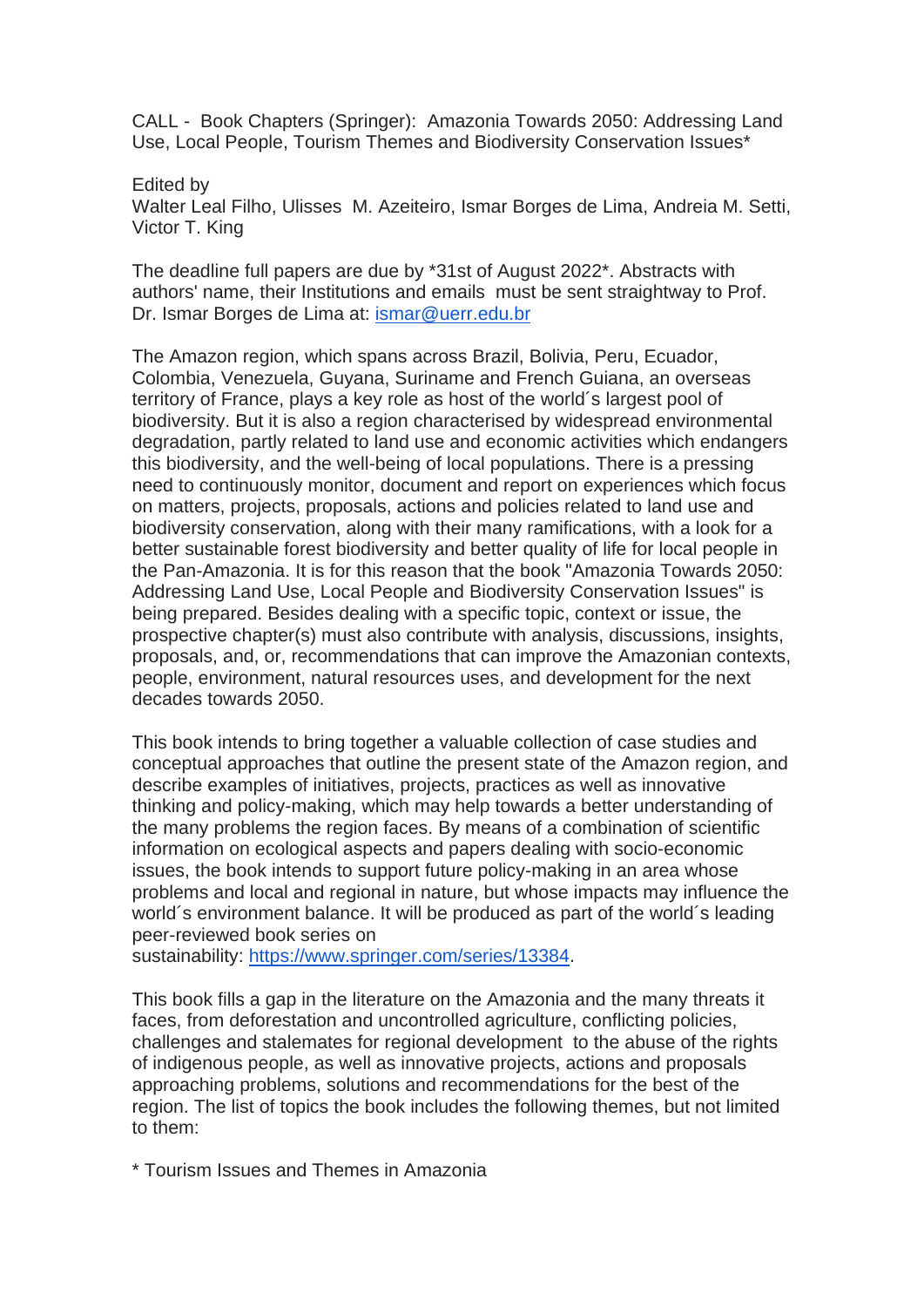CALL - Book Chapters (Springer): Amazonia Towards 2050: Addressing Land Use, Local People, Tourism Themes and Biodiversity Conservation Issues\*

Edited by Walter Leal Filho, Ulisses M. Azeiteiro, Ismar Borges de Lima, Andreia M. Setti, Victor T. King

The deadline full papers are due by \*31st of August 2022\*. Abstracts with authors' name, their Institutions and emails must be sent straightway to Prof. Dr. Ismar Borges de Lima at: [ismar@uerr.edu.br](mailto:ismar@uerr.edu.br)

The Amazon region, which spans across Brazil, Bolivia, Peru, Ecuador, Colombia, Venezuela, Guyana, Suriname and French Guiana, an overseas territory of France, plays a key role as host of the world´s largest pool of biodiversity. But it is also a region characterised by widespread environmental degradation, partly related to land use and economic activities which endangers this biodiversity, and the well-being of local populations. There is a pressing need to continuously monitor, document and report on experiences which focus on matters, projects, proposals, actions and policies related to land use and biodiversity conservation, along with their many ramifications, with a look for a better sustainable forest biodiversity and better quality of life for local people in the Pan-Amazonia. It is for this reason that the book "Amazonia Towards 2050: Addressing Land Use, Local People and Biodiversity Conservation Issues" is being prepared. Besides dealing with a specific topic, context or issue, the prospective chapter(s) must also contribute with analysis, discussions, insights, proposals, and, or, recommendations that can improve the Amazonian contexts, people, environment, natural resources uses, and development for the next decades towards 2050.

This book intends to bring together a valuable collection of case studies and conceptual approaches that outline the present state of the Amazon region, and describe examples of initiatives, projects, practices as well as innovative thinking and policy-making, which may help towards a better understanding of the many problems the region faces. By means of a combination of scientific information on ecological aspects and papers dealing with socio-economic issues, the book intends to support future policy-making in an area whose problems and local and regional in nature, but whose impacts may influence the world´s environment balance. It will be produced as part of the world´s leading peer-reviewed book series on

sustainability: [https://www.springer.com/series/13384.](https://www.springer.com/series/13384)

This book fills a gap in the literature on the Amazonia and the many threats it faces, from deforestation and uncontrolled agriculture, conflicting policies, challenges and stalemates for regional development to the abuse of the rights of indigenous people, as well as innovative projects, actions and proposals approaching problems, solutions and recommendations for the best of the region. The list of topics the book includes the following themes, but not limited to them:

\* Tourism Issues and Themes in Amazonia